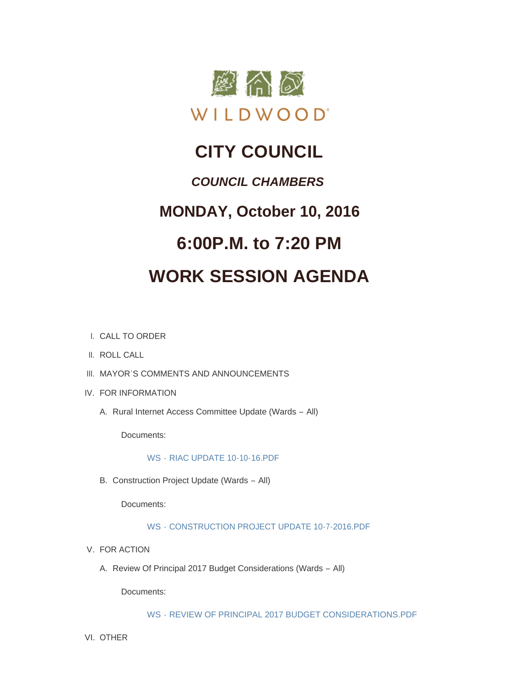

## **CITY COUNCIL**

### *COUNCIL CHAMBERS*

### **MONDAY, October 10, 2016**

## **6:00P.M. to 7:20 PM**

# **WORK SESSION AGENDA**

- CALL TO ORDER I.
- II. ROLL CALL
- III. MAYOR'S COMMENTS AND ANNOUNCEMENTS
- IV. FOR INFORMATION
	- A. Rural Internet Access Committee Update (Wards All)

Documents:

### WS - [RIAC UPDATE 10-10-16.PDF](http://mo-wildwood.civicplus.com/AgendaCenter/ViewFile/Item/8431?fileID=12471)

B. Construction Project Update (Wards - All)

Documents:

### WS - [CONSTRUCTION PROJECT UPDATE 10-7-2016.PDF](http://mo-wildwood.civicplus.com/AgendaCenter/ViewFile/Item/8432?fileID=12472)

- V. FOR ACTION
	- A. Review Of Principal 2017 Budget Considerations (Wards All)

Documents:

WS - [REVIEW OF PRINCIPAL 2017 BUDGET CONSIDERATIONS.PDF](http://mo-wildwood.civicplus.com/AgendaCenter/ViewFile/Item/8434?fileID=12473)

VI. OTHER